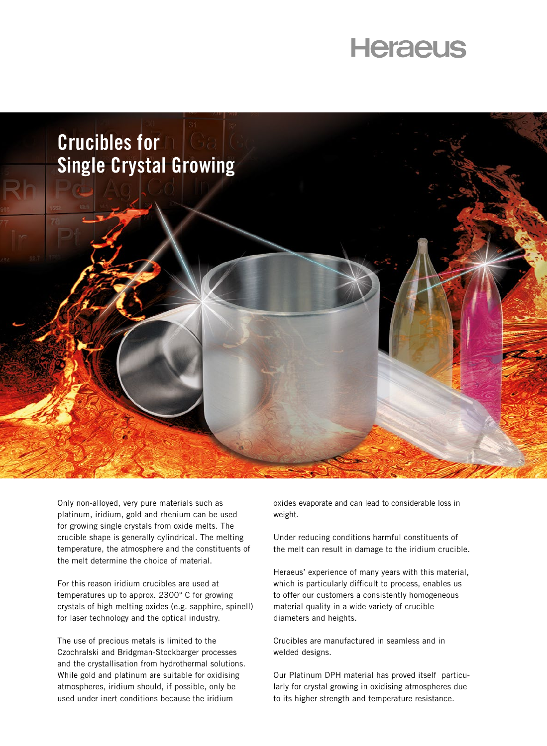## **Heraeus**



Only non-alloyed, very pure materials such as platinum, iridium, gold and rhenium can be used for growing single crystals from oxide melts. The crucible shape is generally cylindrical. The melting temperature, the atmosphere and the constituents of the melt determine the choice of material.

For this reason iridium crucibles are used at temperatures up to approx. 2300° C for growing crystals of high melting oxides (e.g. sapphire, spinell) for laser technology and the optical industry.

The use of precious metals is limited to the Czochralski and Bridgman-Stockbarger processes and the crystallisation from hydrothermal solutions. While gold and platinum are suitable for oxidising atmospheres, iridium should, if possible, only be used under inert conditions because the iridium

oxides evaporate and can lead to considerable loss in weight.

Under reducing conditions harmful constituents of the melt can result in damage to the iridium crucible.

Heraeus' experience of many years with this material, which is particularly difficult to process, enables us to offer our customers a consistently homogeneous material quality in a wide variety of crucible diameters and heights.

Crucibles are manufactured in seamless and in welded designs.

Our Platinum DPH material has proved itself particularly for crystal growing in oxidising atmospheres due to its higher strength and temperature resistance.